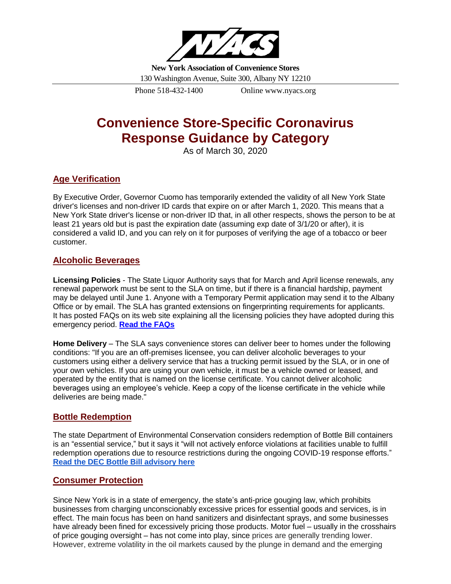

**New York Association of Convenience Stores**

130 Washington Avenue, Suite 300, Albany NY 12210

Phone 518-432-1400 Online www.nyacs.org

# **Convenience Store-Specific Coronavirus Response Guidance by Category**

As of March 30, 2020

# **Age Verification**

By Executive Order, Governor Cuomo has temporarily extended the validity of all New York State driver's licenses and non-driver ID cards that expire on or after March 1, 2020. This means that a New York State driver's license or non-driver ID that, in all other respects, shows the person to be at least 21 years old but is past the expiration date (assuming exp date of 3/1/20 or after), it is considered a valid ID, and you can rely on it for purposes of verifying the age of a tobacco or beer customer.

## **Alcoholic Beverages**

**Licensing Policies** - The State Liquor Authority says that for March and April license renewals, any renewal paperwork must be sent to the SLA on time, but if there is a financial hardship, payment may be delayed until June 1. Anyone with a Temporary Permit application may send it to the Albany Office or by email. The SLA has granted extensions on fingerprinting requirements for applicants. It has posted FAQs on its web site explaining all the licensing policies they have adopted during this emergency period. **[Read the](https://sla.ny.gov/licensing-policies-during-coronavirus-response) FAQs**

**Home Delivery** – The SLA says convenience stores can deliver beer to homes under the following conditions: "If you are an off-premises licensee, you can deliver alcoholic beverages to your customers using either a delivery service that has a trucking permit issued by the SLA, or in one of your own vehicles. If you are using your own vehicle, it must be a vehicle owned or leased, and operated by the entity that is named on the license certificate. You cannot deliver alcoholic beverages using an employee's vehicle. Keep a copy of the license certificate in the vehicle while deliveries are being made."

# **Bottle Redemption**

The state Department of Environmental Conservation considers redemption of Bottle Bill containers is an "essential service," but it says it "will not actively enforce violations at facilities unable to fulfill redemption operations due to resource restrictions during the ongoing COVID-19 response efforts." **[Read the DEC Bottle Bill advisory here](http://r20.rs6.net/tn.jsp?f=001y-fQlHYEJDGc4MdPydWXRQTcqPkQFFjjSlUIy5IUwNwhzpwv0pTcXCnSbWMgfIeyDzeGwYSgwLffPXXslWcocSssUHyHyhHO0t9s1ZGSdz-5qSegSOwmnqMYrZq1WkzSHDF4CEyJtDVMjWmAuyk3Iiw6na3XgSXICWVLFsUuc-w=&c=Uh4B-FKEzy-0QQFfYavYCSl3SCVxvd1-tzpE_3oMZukqFa1_d0qWsA==&ch=ZLyoexBfE4_Yf6pY3eyzyn2QvcdyAkDy9w83uKQQE-Ubufelom3TvQ==)**

# **Consumer Protection**

Since New York is in a state of emergency, the state's anti-price gouging law, which prohibits businesses from charging unconscionably excessive prices for essential goods and services, is in effect. The main focus has been on hand sanitizers and disinfectant sprays, and some businesses have already been fined for excessively pricing those products. Motor fuel – usually in the crosshairs of price gouging oversight – has not come into play, since prices are generally trending lower. However, extreme volatility in the oil markets caused by the plunge in demand and the emerging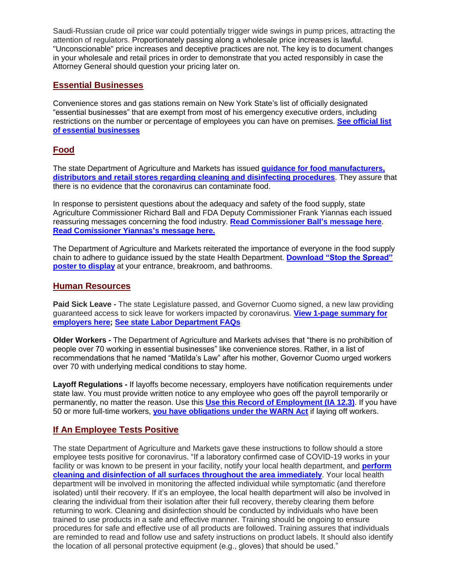Saudi-Russian crude oil price war could potentially trigger wide swings in pump prices, attracting the attention of regulators. Proportionately passing along a wholesale price increases is lawful. "Unconscionable" price increases and deceptive practices are not. The key is to document changes in your wholesale and retail prices in order to demonstrate that you acted responsibly in case the Attorney General should question your pricing later on.

#### **Essential Businesses**

Convenience stores and gas stations remain on New York State's list of officially designated "essential businesses" that are exempt from most of his emergency executive orders, including restrictions on the number or percentage of employees you can have on premises. **[See official list](https://esd.ny.gov/guidance-executive-order-2026)  [of essential businesses](https://esd.ny.gov/guidance-executive-order-2026)**

### **Food**

The state Department of Agriculture and Markets has issued **[guidance for food manufacturers,](https://files.constantcontact.com/3a882dc9001/af716d86-7248-4468-ad91-4d904abec311.pdf)  [distributors and retail stores regarding cleaning and disinfecting procedures](https://files.constantcontact.com/3a882dc9001/af716d86-7248-4468-ad91-4d904abec311.pdf)**. They assure that there is no evidence that the coronavirus can contaminate food.

In response to persistent questions about the adequacy and safety of the food supply, state Agriculture Commissioner Richard Ball and FDA Deputy Commissioner Frank Yiannas each issued reassuring messages concerning the food industry. **[Read Commissioner Ball's](https://files.constantcontact.com/3a882dc9001/93772bbc-f298-4ae5-b4ae-23c4acba6631.pdf) message here**. **[Read Comissioner Yiannas's](https://www.fda.gov/news-events/fda-voices-perspectives-fda-leadership-and-experts/fda-offers-assurance-about-food-safety-and-supply-people-and-animals-during-covid-19) message here.**

The Department of Agriculture and Markets reiterated the importance of everyone in the food supply chain to adhere to guidance issued by the state Health Department. **[Download "Stop the Spread"](https://files.constantcontact.com/3a882dc9001/25abbcea-c9bb-4471-90da-9297cd331a59.pdf)  [poster to display](https://files.constantcontact.com/3a882dc9001/25abbcea-c9bb-4471-90da-9297cd331a59.pdf)** at your entrance, breakroom, and bathrooms.

#### **Human Resources**

**Paid Sick Leave -** The state Legislature passed, and Governor Cuomo signed, a new law providing guaranteed access to sick leave for workers impacted by coronavirus. **View [1-page summary](https://www.governor.ny.gov/sites/governor.ny.gov/files/atoms/files/COVID_Sick_Leave_Employers_3-18-20_1.pdf) for [employers here;](https://www.governor.ny.gov/sites/governor.ny.gov/files/atoms/files/COVID_Sick_Leave_Employers_3-18-20_1.pdf) [See state Labor Department FAQs](https://paidfamilyleave.ny.gov/new-york-paid-family-leave-covid-19-faqs)**

**Older Workers -** The Department of Agriculture and Markets advises that "there is no prohibition of people over 70 working in essential businesses" like convenience stores. Rather, in a list of recommendations that he named "Matilda's Law" after his mother, Governor Cuomo urged workers over 70 with underlying medical conditions to stay home.

**Layoff Regulations -** If layoffs become necessary, employers have notification requirements under state law. You must provide written notice to any employee who goes off the payroll temporarily or permanently, no matter the reason. Use this **[Use this Record of Employment \(IA 12.3\)](http://r20.rs6.net/tn.jsp?f=001IZXjenNd-YD4VHvc8hdgF4FAYuHuglG0npj6Mf-llA3CwXfb53qm5jk2h23QA89tHB9KwUnY7BnGJAJ_4uXWkYPtsoV0WgaJNWss-Y-Bjga3PfmR9_UCaxf4Mft1egNCcYW1RMhH_dUuKaT4uC3YtuA5okY9ZL9Nm8Gp_BZCjIuqfDfTgEd_j32rFK6uF2YtBLu--bPbvz3M1tUsHOdX68i5AsnSz8HUyrPIS4ePe4mrteXBKGxIrOSiP1DSCiNHl14bLqYudF7vlTp55YlE5A==&c=o77fqfMHbvL1lHj5UgT_jF7BY83wgzctkR86_Srwr0ZOtW3F2dzmiw==&ch=LFcK0PFaT8tRD4J_YqqJVS7tjOEctSIDIcK37a8KYSAPPeLMAnyoDw==)**. If you have 50 or more full-time workers, **you have [obligations under the WARN Act](http://r20.rs6.net/tn.jsp?f=001IZXjenNd-YD4VHvc8hdgF4FAYuHuglG0npj6Mf-llA3CwXfb53qm5jk2h23QA89tDsONP5cH4JWxPoaR9YkCjYb_032ybG3rV89OjPnVaKtSozMXPGXy25al1TLUn776pR7NVATo0Wt8qBIwAVIUk4BTn4wOtE25omYRtAbElwfZ9bNlsdYw-9rujFVQuEoEnsIWhdjUPQjuWgcOKUXllsk4nmd8IdWMXjjcuYY8bt8ZNtgelf0BAXnyNzgc-a676a-sRauF6RwlWnTaPBn9_g==&c=o77fqfMHbvL1lHj5UgT_jF7BY83wgzctkR86_Srwr0ZOtW3F2dzmiw==&ch=LFcK0PFaT8tRD4J_YqqJVS7tjOEctSIDIcK37a8KYSAPPeLMAnyoDw==)** if laying off workers.

### **If An Employee Tests Positive**

The state Department of Agriculture and Markets gave these instructions to follow should a store employee tests positive for coronavirus. "If a laboratory confirmed case of COVID-19 works in your facility or was known to be present in your facility, notify your local health department, and **[perform](https://coronavirus.health.ny.gov/system/files/documents/2020/03/cleaningfoodstorescovid-19.pdf)  [cleaning and disinfection of all surfaces throughout the area immediately](https://coronavirus.health.ny.gov/system/files/documents/2020/03/cleaningfoodstorescovid-19.pdf)**. Your local health department will be involved in monitoring the affected individual while symptomatic (and therefore isolated) until their recovery. If it's an employee, the local health department will also be involved in clearing the individual from their isolation after their full recovery, thereby clearing them before returning to work. Cleaning and disinfection should be conducted by individuals who have been trained to use products in a safe and effective manner. Training should be ongoing to ensure procedures for safe and effective use of all products are followed. Training assures that individuals are reminded to read and follow use and safety instructions on product labels. It should also identify the location of all personal protective equipment (e.g., gloves) that should be used."